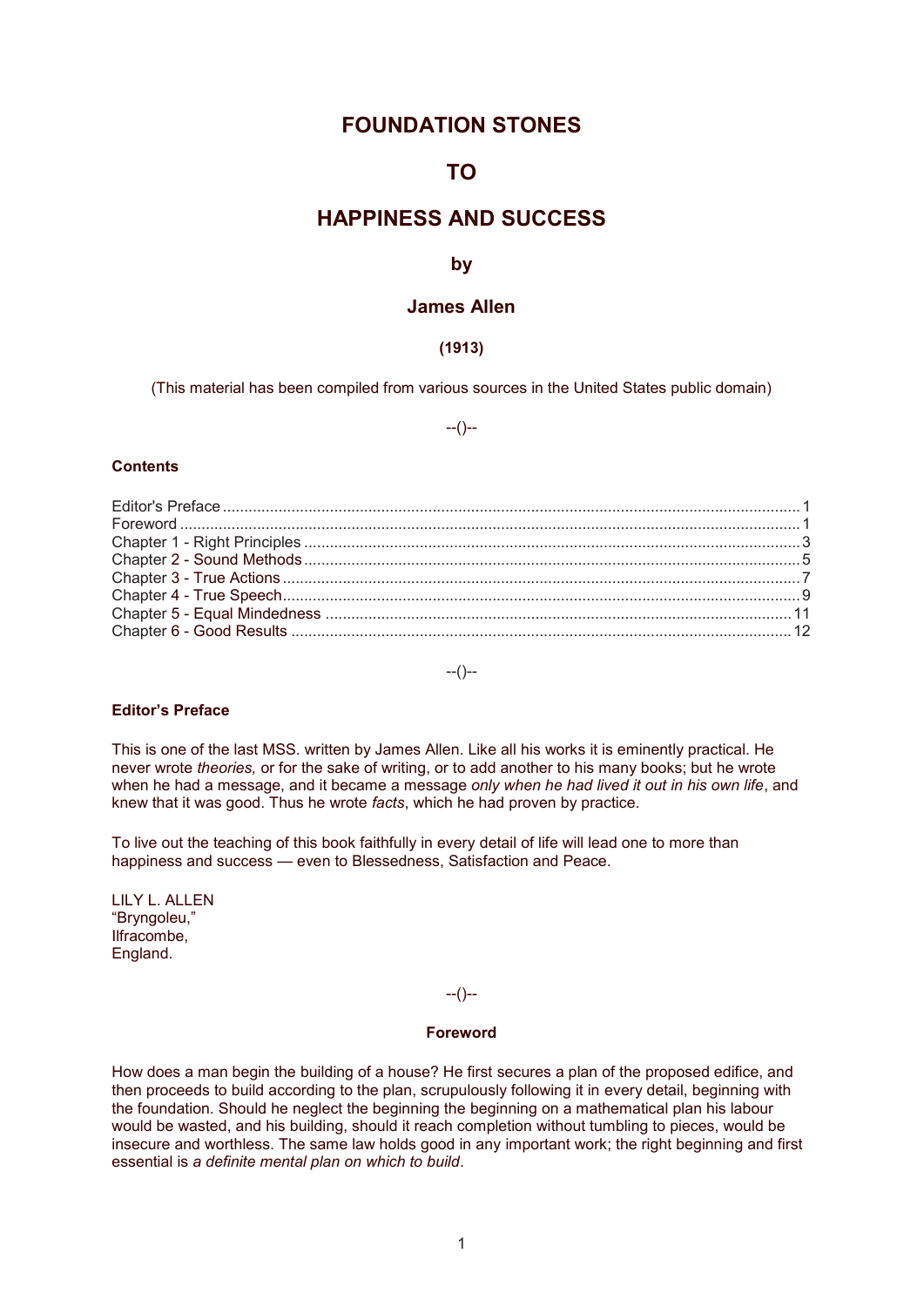# **FOUNDATION STONES**

# **TO**

# **HAPPINESS AND SUCCESS**

### **by**

## **James Allen**

# **(1913)**

(This material has been compiled from various sources in the United States public domain)

--()--

#### **Contents**

--()--

#### **Editor's Preface**

This is one of the last MSS. written by James Allen. Like all his works it is eminently practical. He never wrote *theories,* or for the sake of writing, or to add another to his many books; but he wrote when he had a message, and it became a message *only when he had lived it out in his own life*, and knew that it was good. Thus he wrote *facts*, which he had proven by practice.

To live out the teaching of this book faithfully in every detail of life will lead one to more than happiness and success — even to Blessedness, Satisfaction and Peace.

LILY L. ALLEN "Bryngoleu," Ilfracombe, England.

#### $-(-)$

#### **Foreword**

How does a man begin the building of a house? He first secures a plan of the proposed edifice, and then proceeds to build according to the plan, scrupulously following it in every detail, beginning with the foundation. Should he neglect the beginning the beginning on a mathematical plan his labour would be wasted, and his building, should it reach completion without tumbling to pieces, would be insecure and worthless. The same law holds good in any important work; the right beginning and first essential is *a definite mental plan on which to build*.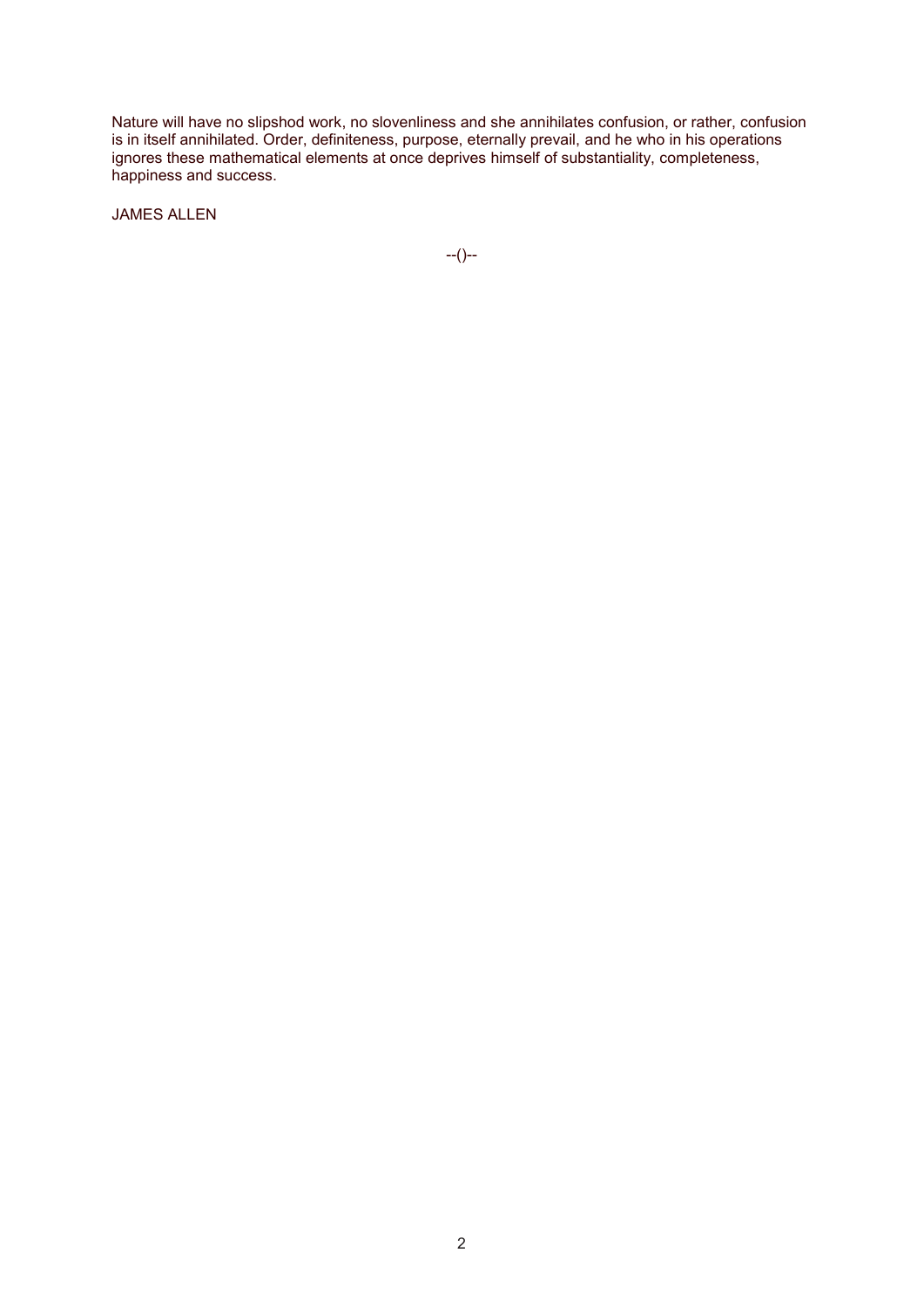Nature will have no slipshod work, no slovenliness and she annihilates confusion, or rather, confusion is in itself annihilated. Order, definiteness, purpose, eternally prevail, and he who in his operations ignores these mathematical elements at once deprives himself of substantiality, completeness, happiness and success.

JAMES ALLEN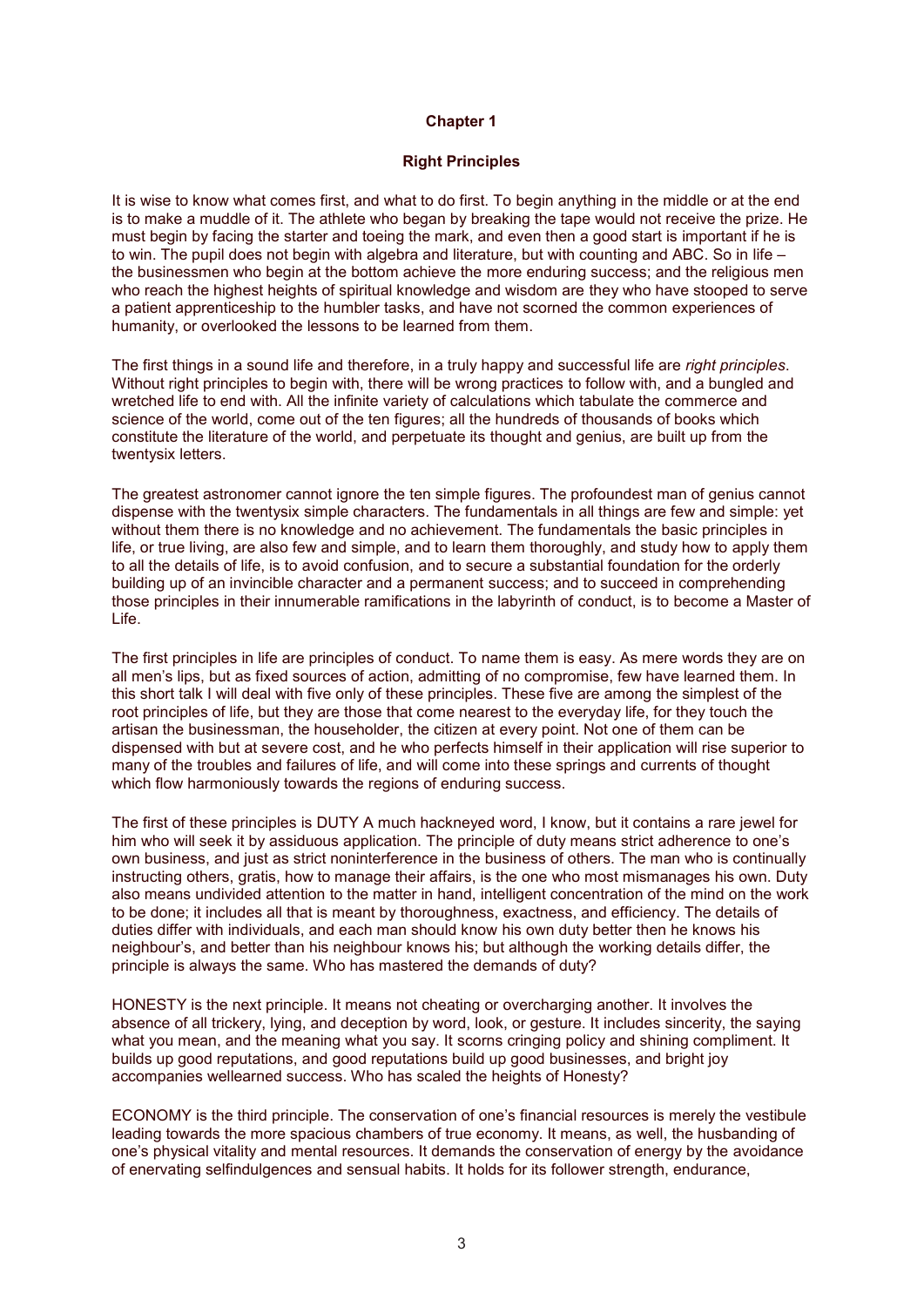#### **Right Principles**

It is wise to know what comes first, and what to do first. To begin anything in the middle or at the end is to make a muddle of it. The athlete who began by breaking the tape would not receive the prize. He must begin by facing the starter and toeing the mark, and even then a good start is important if he is to win. The pupil does not begin with algebra and literature, but with counting and ABC. So in life – the businessmen who begin at the bottom achieve the more enduring success; and the religious men who reach the highest heights of spiritual knowledge and wisdom are they who have stooped to serve a patient apprenticeship to the humbler tasks, and have not scorned the common experiences of humanity, or overlooked the lessons to be learned from them.

The first things in a sound life and therefore, in a truly happy and successful life are *right principles*. Without right principles to begin with, there will be wrong practices to follow with, and a bungled and wretched life to end with. All the infinite variety of calculations which tabulate the commerce and science of the world, come out of the ten figures; all the hundreds of thousands of books which constitute the literature of the world, and perpetuate its thought and genius, are built up from the twentysix letters.

The greatest astronomer cannot ignore the ten simple figures. The profoundest man of genius cannot dispense with the twentysix simple characters. The fundamentals in all things are few and simple: yet without them there is no knowledge and no achievement. The fundamentals the basic principles in life, or true living, are also few and simple, and to learn them thoroughly, and study how to apply them to all the details of life, is to avoid confusion, and to secure a substantial foundation for the orderly building up of an invincible character and a permanent success; and to succeed in comprehending those principles in their innumerable ramifications in the labyrinth of conduct, is to become a Master of Life.

The first principles in life are principles of conduct. To name them is easy. As mere words they are on all men's lips, but as fixed sources of action, admitting of no compromise, few have learned them. In this short talk I will deal with five only of these principles. These five are among the simplest of the root principles of life, but they are those that come nearest to the everyday life, for they touch the artisan the businessman, the householder, the citizen at every point. Not one of them can be dispensed with but at severe cost, and he who perfects himself in their application will rise superior to many of the troubles and failures of life, and will come into these springs and currents of thought which flow harmoniously towards the regions of enduring success.

The first of these principles is DUTY A much hackneyed word, I know, but it contains a rare jewel for him who will seek it by assiduous application. The principle of duty means strict adherence to one's own business, and just as strict noninterference in the business of others. The man who is continually instructing others, gratis, how to manage their affairs, is the one who most mismanages his own. Duty also means undivided attention to the matter in hand, intelligent concentration of the mind on the work to be done; it includes all that is meant by thoroughness, exactness, and efficiency. The details of duties differ with individuals, and each man should know his own duty better then he knows his neighbour's, and better than his neighbour knows his; but although the working details differ, the principle is always the same. Who has mastered the demands of duty?

HONESTY is the next principle. It means not cheating or overcharging another. It involves the absence of all trickery, lying, and deception by word, look, or gesture. It includes sincerity, the saying what you mean, and the meaning what you say. It scorns cringing policy and shining compliment. It builds up good reputations, and good reputations build up good businesses, and bright joy accompanies wellearned success. Who has scaled the heights of Honesty?

ECONOMY is the third principle. The conservation of one's financial resources is merely the vestibule leading towards the more spacious chambers of true economy. It means, as well, the husbanding of one's physical vitality and mental resources. It demands the conservation of energy by the avoidance of enervating selfindulgences and sensual habits. It holds for its follower strength, endurance,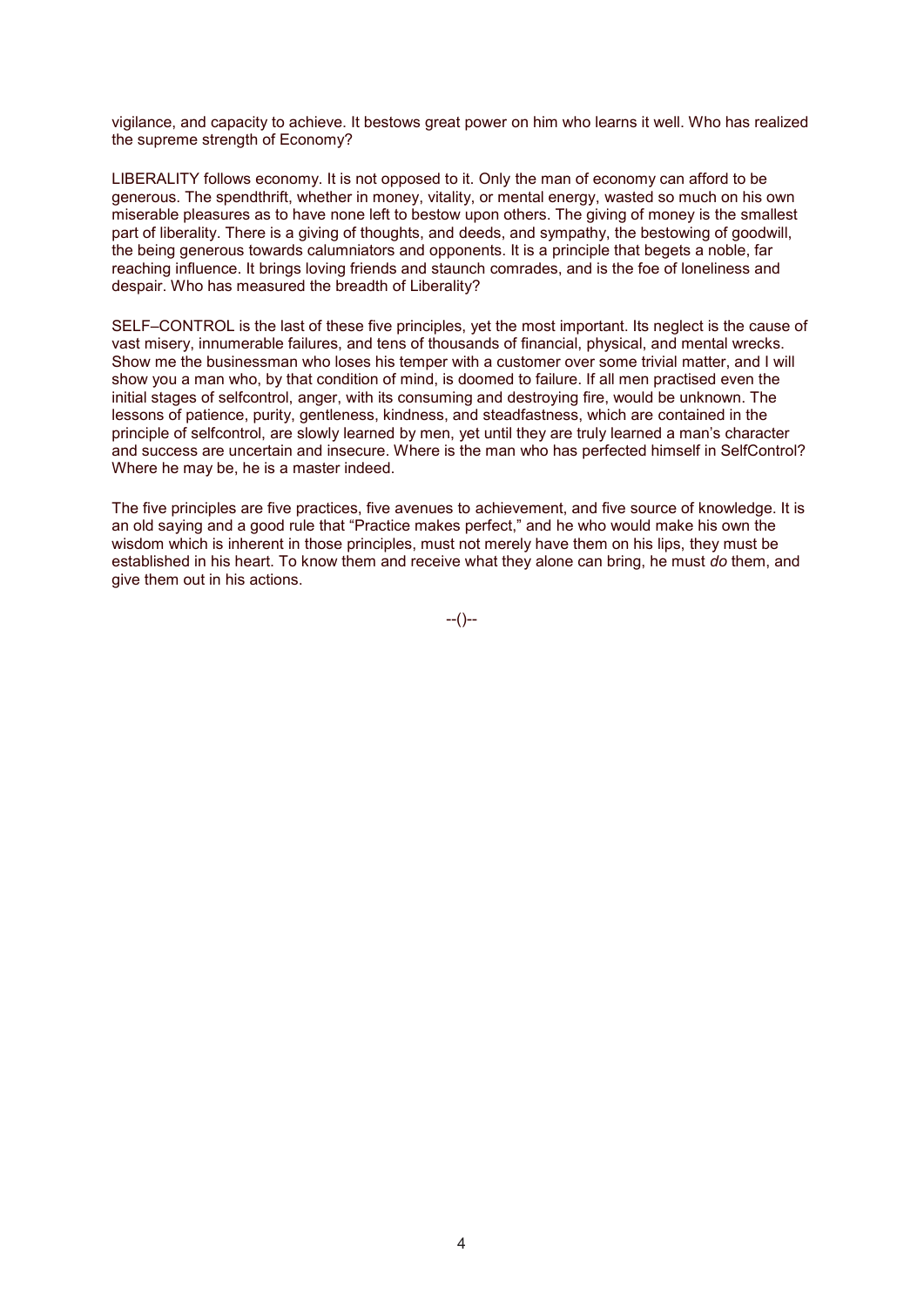vigilance, and capacity to achieve. It bestows great power on him who learns it well. Who has realized the supreme strength of Economy?

LIBERALITY follows economy. It is not opposed to it. Only the man of economy can afford to be generous. The spendthrift, whether in money, vitality, or mental energy, wasted so much on his own miserable pleasures as to have none left to bestow upon others. The giving of money is the smallest part of liberality. There is a giving of thoughts, and deeds, and sympathy, the bestowing of goodwill, the being generous towards calumniators and opponents. It is a principle that begets a noble, far reaching influence. It brings loving friends and staunch comrades, and is the foe of loneliness and despair. Who has measured the breadth of Liberality?

SELF–CONTROL is the last of these five principles, yet the most important. Its neglect is the cause of vast misery, innumerable failures, and tens of thousands of financial, physical, and mental wrecks. Show me the businessman who loses his temper with a customer over some trivial matter, and I will show you a man who, by that condition of mind, is doomed to failure. If all men practised even the initial stages of selfcontrol, anger, with its consuming and destroying fire, would be unknown. The lessons of patience, purity, gentleness, kindness, and steadfastness, which are contained in the principle of selfcontrol, are slowly learned by men, yet until they are truly learned a man's character and success are uncertain and insecure. Where is the man who has perfected himself in SelfControl? Where he may be, he is a master indeed.

The five principles are five practices, five avenues to achievement, and five source of knowledge. It is an old saying and a good rule that "Practice makes perfect," and he who would make his own the wisdom which is inherent in those principles, must not merely have them on his lips, they must be established in his heart. To know them and receive what they alone can bring, he must *do* them, and give them out in his actions.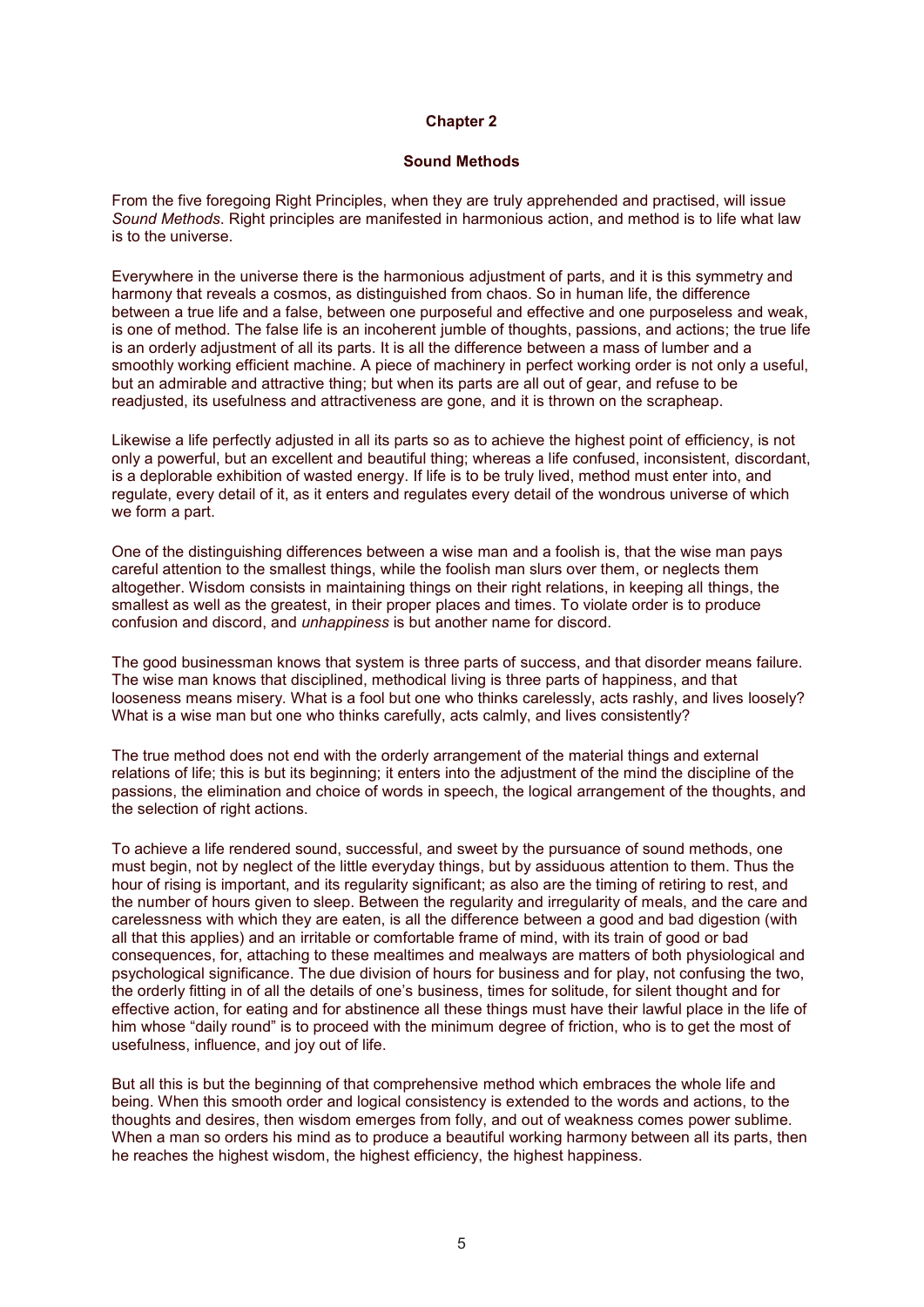#### **Sound Methods**

From the five foregoing Right Principles, when they are truly apprehended and practised, will issue *Sound Methods*. Right principles are manifested in harmonious action, and method is to life what law is to the universe.

Everywhere in the universe there is the harmonious adjustment of parts, and it is this symmetry and harmony that reveals a cosmos, as distinguished from chaos. So in human life, the difference between a true life and a false, between one purposeful and effective and one purposeless and weak, is one of method. The false life is an incoherent jumble of thoughts, passions, and actions; the true life is an orderly adjustment of all its parts. It is all the difference between a mass of lumber and a smoothly working efficient machine. A piece of machinery in perfect working order is not only a useful, but an admirable and attractive thing; but when its parts are all out of gear, and refuse to be readjusted, its usefulness and attractiveness are gone, and it is thrown on the scrapheap.

Likewise a life perfectly adjusted in all its parts so as to achieve the highest point of efficiency, is not only a powerful, but an excellent and beautiful thing; whereas a life confused, inconsistent, discordant, is a deplorable exhibition of wasted energy. If life is to be truly lived, method must enter into, and regulate, every detail of it, as it enters and regulates every detail of the wondrous universe of which we form a part.

One of the distinguishing differences between a wise man and a foolish is, that the wise man pays careful attention to the smallest things, while the foolish man slurs over them, or neglects them altogether. Wisdom consists in maintaining things on their right relations, in keeping all things, the smallest as well as the greatest, in their proper places and times. To violate order is to produce confusion and discord, and *unhappiness* is but another name for discord.

The good businessman knows that system is three parts of success, and that disorder means failure. The wise man knows that disciplined, methodical living is three parts of happiness, and that looseness means misery. What is a fool but one who thinks carelessly, acts rashly, and lives loosely? What is a wise man but one who thinks carefully, acts calmly, and lives consistently?

The true method does not end with the orderly arrangement of the material things and external relations of life; this is but its beginning; it enters into the adjustment of the mind the discipline of the passions, the elimination and choice of words in speech, the logical arrangement of the thoughts, and the selection of right actions.

To achieve a life rendered sound, successful, and sweet by the pursuance of sound methods, one must begin, not by neglect of the little everyday things, but by assiduous attention to them. Thus the hour of rising is important, and its regularity significant; as also are the timing of retiring to rest, and the number of hours given to sleep. Between the regularity and irregularity of meals, and the care and carelessness with which they are eaten, is all the difference between a good and bad digestion (with all that this applies) and an irritable or comfortable frame of mind, with its train of good or bad consequences, for, attaching to these mealtimes and mealways are matters of both physiological and psychological significance. The due division of hours for business and for play, not confusing the two, the orderly fitting in of all the details of one's business, times for solitude, for silent thought and for effective action, for eating and for abstinence all these things must have their lawful place in the life of him whose "daily round" is to proceed with the minimum degree of friction, who is to get the most of usefulness, influence, and joy out of life.

But all this is but the beginning of that comprehensive method which embraces the whole life and being. When this smooth order and logical consistency is extended to the words and actions, to the thoughts and desires, then wisdom emerges from folly, and out of weakness comes power sublime. When a man so orders his mind as to produce a beautiful working harmony between all its parts, then he reaches the highest wisdom, the highest efficiency, the highest happiness.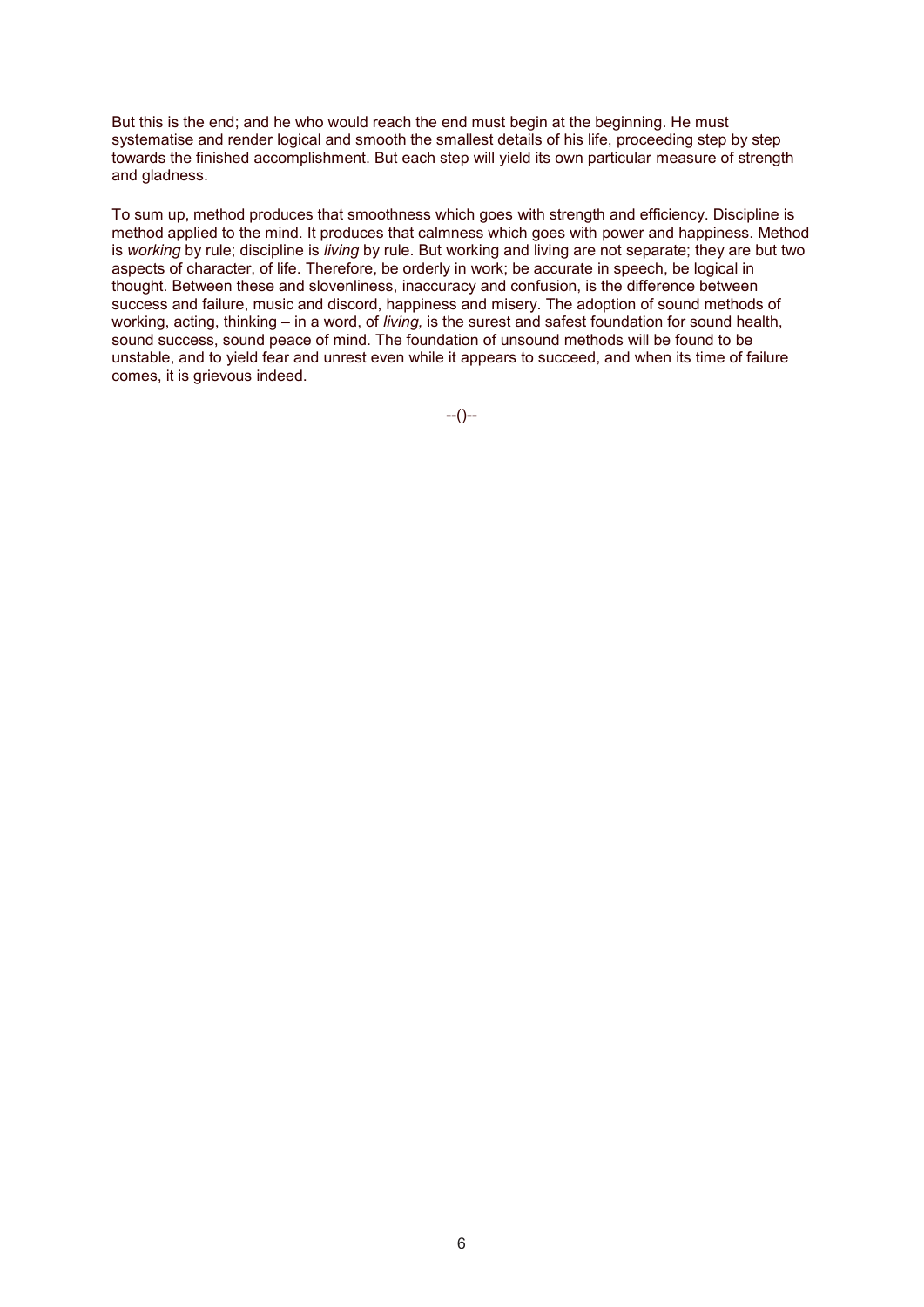But this is the end; and he who would reach the end must begin at the beginning. He must systematise and render logical and smooth the smallest details of his life, proceeding step by step towards the finished accomplishment. But each step will yield its own particular measure of strength and gladness.

To sum up, method produces that smoothness which goes with strength and efficiency. Discipline is method applied to the mind. It produces that calmness which goes with power and happiness. Method is *working* by rule; discipline is *living* by rule. But working and living are not separate; they are but two aspects of character, of life. Therefore, be orderly in work; be accurate in speech, be logical in thought. Between these and slovenliness, inaccuracy and confusion, is the difference between success and failure, music and discord, happiness and misery. The adoption of sound methods of working, acting, thinking – in a word, of *living,* is the surest and safest foundation for sound health, sound success, sound peace of mind. The foundation of unsound methods will be found to be unstable, and to yield fear and unrest even while it appears to succeed, and when its time of failure comes, it is grievous indeed.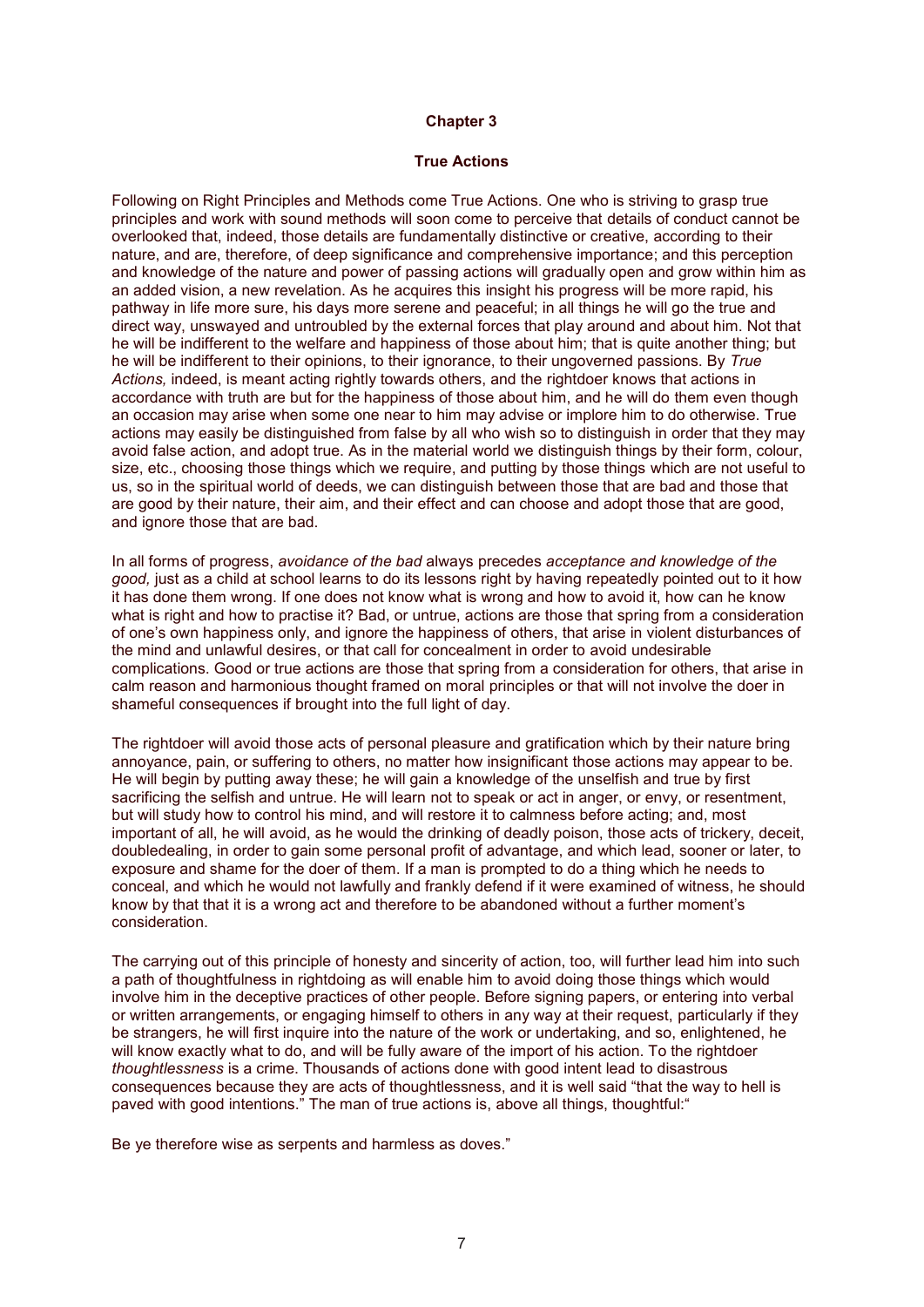#### **True Actions**

Following on Right Principles and Methods come True Actions. One who is striving to grasp true principles and work with sound methods will soon come to perceive that details of conduct cannot be overlooked that, indeed, those details are fundamentally distinctive or creative, according to their nature, and are, therefore, of deep significance and comprehensive importance; and this perception and knowledge of the nature and power of passing actions will gradually open and grow within him as an added vision, a new revelation. As he acquires this insight his progress will be more rapid, his pathway in life more sure, his days more serene and peaceful; in all things he will go the true and direct way, unswayed and untroubled by the external forces that play around and about him. Not that he will be indifferent to the welfare and happiness of those about him; that is quite another thing; but he will be indifferent to their opinions, to their ignorance, to their ungoverned passions. By *True Actions,* indeed, is meant acting rightly towards others, and the rightdoer knows that actions in accordance with truth are but for the happiness of those about him, and he will do them even though an occasion may arise when some one near to him may advise or implore him to do otherwise. True actions may easily be distinguished from false by all who wish so to distinguish in order that they may avoid false action, and adopt true. As in the material world we distinguish things by their form, colour, size, etc., choosing those things which we require, and putting by those things which are not useful to us, so in the spiritual world of deeds, we can distinguish between those that are bad and those that are good by their nature, their aim, and their effect and can choose and adopt those that are good, and ignore those that are bad.

In all forms of progress, *avoidance of the bad* always precedes *acceptance and knowledge of the good,* just as a child at school learns to do its lessons right by having repeatedly pointed out to it how it has done them wrong. If one does not know what is wrong and how to avoid it, how can he know what is right and how to practise it? Bad, or untrue, actions are those that spring from a consideration of one's own happiness only, and ignore the happiness of others, that arise in violent disturbances of the mind and unlawful desires, or that call for concealment in order to avoid undesirable complications. Good or true actions are those that spring from a consideration for others, that arise in calm reason and harmonious thought framed on moral principles or that will not involve the doer in shameful consequences if brought into the full light of day.

The rightdoer will avoid those acts of personal pleasure and gratification which by their nature bring annoyance, pain, or suffering to others, no matter how insignificant those actions may appear to be. He will begin by putting away these; he will gain a knowledge of the unselfish and true by first sacrificing the selfish and untrue. He will learn not to speak or act in anger, or envy, or resentment, but will study how to control his mind, and will restore it to calmness before acting; and, most important of all, he will avoid, as he would the drinking of deadly poison, those acts of trickery, deceit, doubledealing, in order to gain some personal profit of advantage, and which lead, sooner or later, to exposure and shame for the doer of them. If a man is prompted to do a thing which he needs to conceal, and which he would not lawfully and frankly defend if it were examined of witness, he should know by that that it is a wrong act and therefore to be abandoned without a further moment's consideration.

The carrying out of this principle of honesty and sincerity of action, too, will further lead him into such a path of thoughtfulness in rightdoing as will enable him to avoid doing those things which would involve him in the deceptive practices of other people. Before signing papers, or entering into verbal or written arrangements, or engaging himself to others in any way at their request, particularly if they be strangers, he will first inquire into the nature of the work or undertaking, and so, enlightened, he will know exactly what to do, and will be fully aware of the import of his action. To the rightdoer *thoughtlessness* is a crime. Thousands of actions done with good intent lead to disastrous consequences because they are acts of thoughtlessness, and it is well said "that the way to hell is paved with good intentions." The man of true actions is, above all things, thoughtful:"

Be ye therefore wise as serpents and harmless as doves."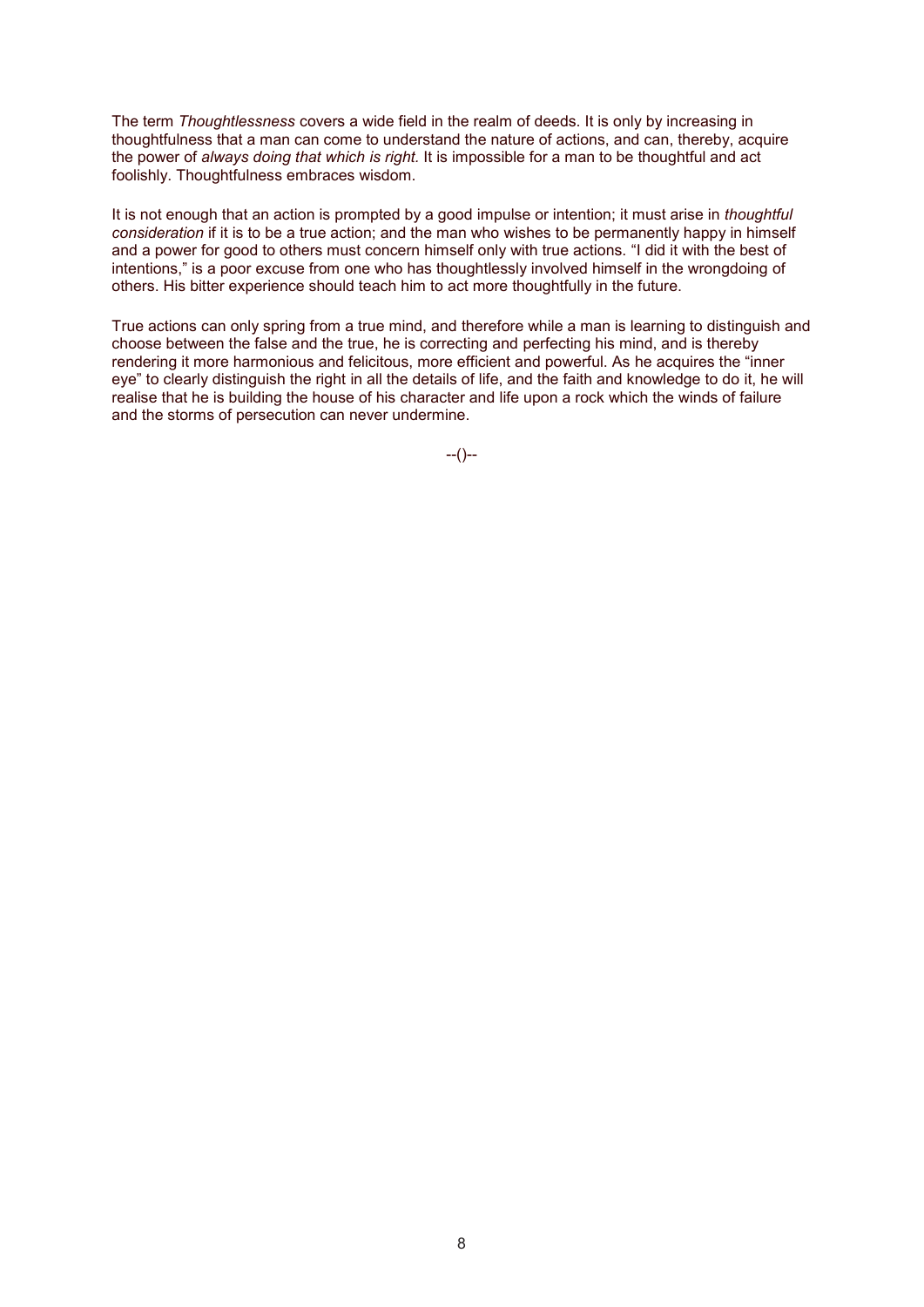The term *Thoughtlessness* covers a wide field in the realm of deeds. It is only by increasing in thoughtfulness that a man can come to understand the nature of actions, and can, thereby, acquire the power of *always doing that which is right.* It is impossible for a man to be thoughtful and act foolishly. Thoughtfulness embraces wisdom.

It is not enough that an action is prompted by a good impulse or intention; it must arise in *thoughtful consideration* if it is to be a true action; and the man who wishes to be permanently happy in himself and a power for good to others must concern himself only with true actions. "I did it with the best of intentions," is a poor excuse from one who has thoughtlessly involved himself in the wrongdoing of others. His bitter experience should teach him to act more thoughtfully in the future.

True actions can only spring from a true mind, and therefore while a man is learning to distinguish and choose between the false and the true, he is correcting and perfecting his mind, and is thereby rendering it more harmonious and felicitous, more efficient and powerful. As he acquires the "inner eye" to clearly distinguish the right in all the details of life, and the faith and knowledge to do it, he will realise that he is building the house of his character and life upon a rock which the winds of failure and the storms of persecution can never undermine.

 $-(-)$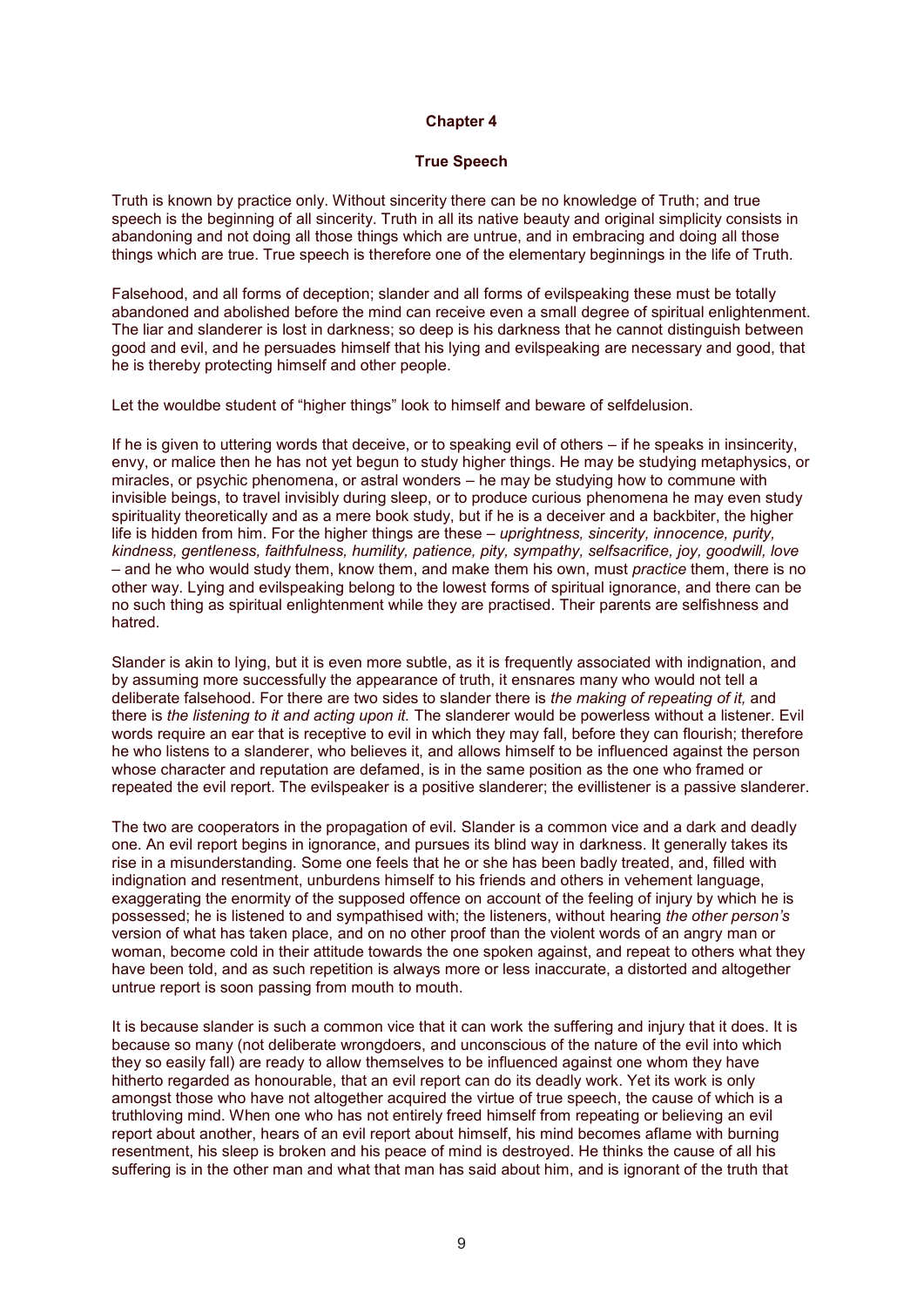#### **True Speech**

Truth is known by practice only. Without sincerity there can be no knowledge of Truth; and true speech is the beginning of all sincerity. Truth in all its native beauty and original simplicity consists in abandoning and not doing all those things which are untrue, and in embracing and doing all those things which are true. True speech is therefore one of the elementary beginnings in the life of Truth.

Falsehood, and all forms of deception; slander and all forms of evilspeaking these must be totally abandoned and abolished before the mind can receive even a small degree of spiritual enlightenment. The liar and slanderer is lost in darkness; so deep is his darkness that he cannot distinguish between good and evil, and he persuades himself that his lying and evilspeaking are necessary and good, that he is thereby protecting himself and other people.

Let the wouldbe student of "higher things" look to himself and beware of selfdelusion.

If he is given to uttering words that deceive, or to speaking evil of others – if he speaks in insincerity, envy, or malice then he has not yet begun to study higher things. He may be studying metaphysics, or miracles, or psychic phenomena, or astral wonders – he may be studying how to commune with invisible beings, to travel invisibly during sleep, or to produce curious phenomena he may even study spirituality theoretically and as a mere book study, but if he is a deceiver and a backbiter, the higher life is hidden from him. For the higher things are these – *uprightness, sincerity, innocence, purity, kindness, gentleness, faithfulness, humility, patience, pity, sympathy, selfsacrifice, joy, goodwill, love*  – and he who would study them, know them, and make them his own, must *practice* them, there is no other way. Lying and evilspeaking belong to the lowest forms of spiritual ignorance, and there can be no such thing as spiritual enlightenment while they are practised. Their parents are selfishness and hatred.

Slander is akin to Iving, but it is even more subtle, as it is frequently associated with indignation, and by assuming more successfully the appearance of truth, it ensnares many who would not tell a deliberate falsehood. For there are two sides to slander there is *the making of repeating of it,* and there is *the listening to it and acting upon it.* The slanderer would be powerless without a listener. Evil words require an ear that is receptive to evil in which they may fall, before they can flourish; therefore he who listens to a slanderer, who believes it, and allows himself to be influenced against the person whose character and reputation are defamed, is in the same position as the one who framed or repeated the evil report. The evilspeaker is a positive slanderer; the evillistener is a passive slanderer.

The two are cooperators in the propagation of evil. Slander is a common vice and a dark and deadly one. An evil report begins in ignorance, and pursues its blind way in darkness. It generally takes its rise in a misunderstanding. Some one feels that he or she has been badly treated, and, filled with indignation and resentment, unburdens himself to his friends and others in vehement language, exaggerating the enormity of the supposed offence on account of the feeling of injury by which he is possessed; he is listened to and sympathised with; the listeners, without hearing *the other person's*  version of what has taken place, and on no other proof than the violent words of an angry man or woman, become cold in their attitude towards the one spoken against, and repeat to others what they have been told, and as such repetition is always more or less inaccurate, a distorted and altogether untrue report is soon passing from mouth to mouth.

It is because slander is such a common vice that it can work the suffering and injury that it does. It is because so many (not deliberate wrongdoers, and unconscious of the nature of the evil into which they so easily fall) are ready to allow themselves to be influenced against one whom they have hitherto regarded as honourable, that an evil report can do its deadly work. Yet its work is only amongst those who have not altogether acquired the virtue of true speech, the cause of which is a truthloving mind. When one who has not entirely freed himself from repeating or believing an evil report about another, hears of an evil report about himself, his mind becomes aflame with burning resentment, his sleep is broken and his peace of mind is destroyed. He thinks the cause of all his suffering is in the other man and what that man has said about him, and is ignorant of the truth that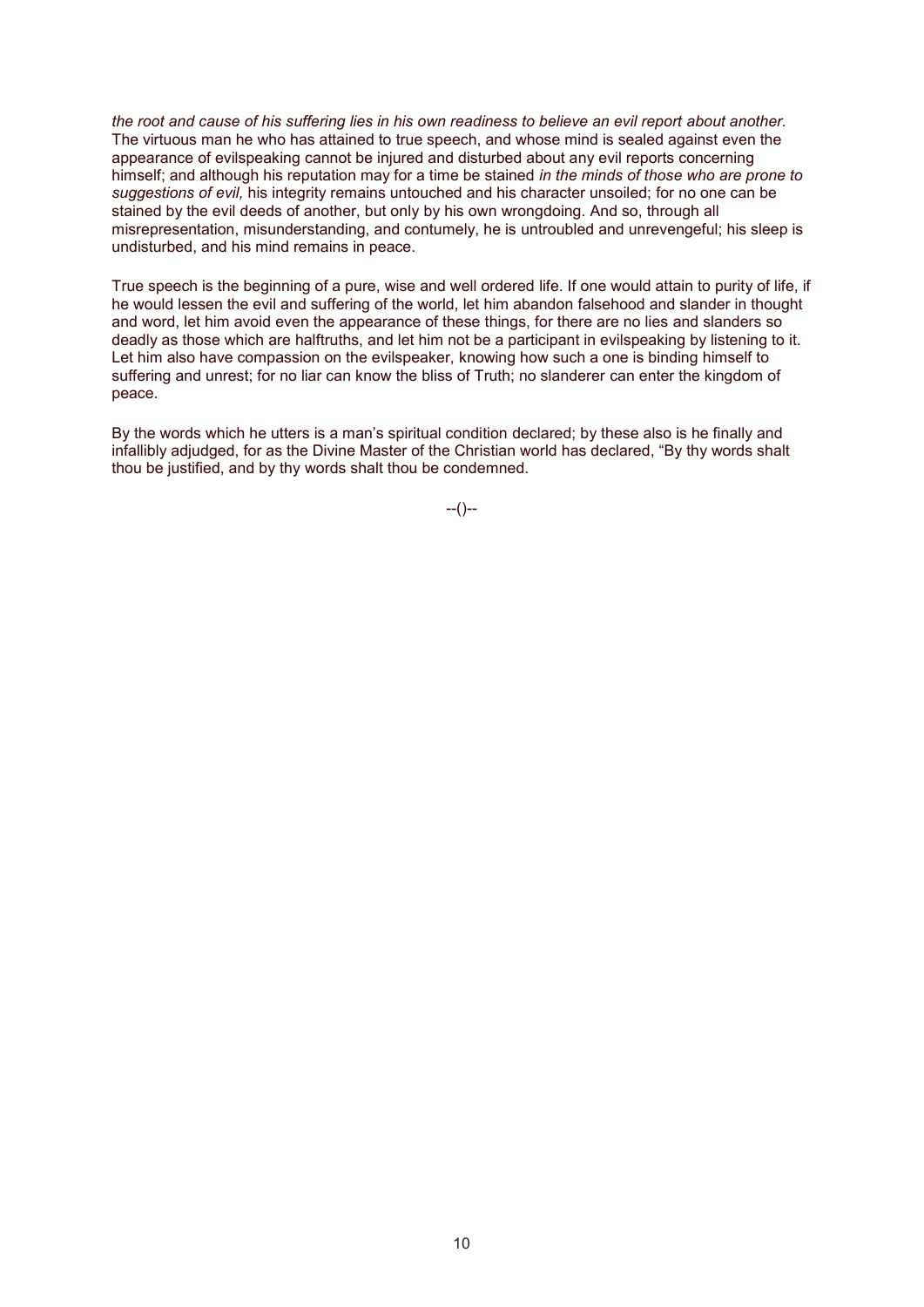*the root and cause of his suffering lies in his own readiness to believe an evil report about another.*  The virtuous man he who has attained to true speech, and whose mind is sealed against even the appearance of evilspeaking cannot be injured and disturbed about any evil reports concerning himself; and although his reputation may for a time be stained *in the minds of those who are prone to suggestions of evil,* his integrity remains untouched and his character unsoiled; for no one can be stained by the evil deeds of another, but only by his own wrongdoing. And so, through all misrepresentation, misunderstanding, and contumely, he is untroubled and unrevengeful; his sleep is undisturbed, and his mind remains in peace.

True speech is the beginning of a pure, wise and well ordered life. If one would attain to purity of life, if he would lessen the evil and suffering of the world, let him abandon falsehood and slander in thought and word, let him avoid even the appearance of these things, for there are no lies and slanders so deadly as those which are halftruths, and let him not be a participant in evilspeaking by listening to it. Let him also have compassion on the evilspeaker, knowing how such a one is binding himself to suffering and unrest; for no liar can know the bliss of Truth; no slanderer can enter the kingdom of peace.

By the words which he utters is a man's spiritual condition declared; by these also is he finally and infallibly adjudged, for as the Divine Master of the Christian world has declared, "By thy words shalt thou be justified, and by thy words shalt thou be condemned.

 $-(-)$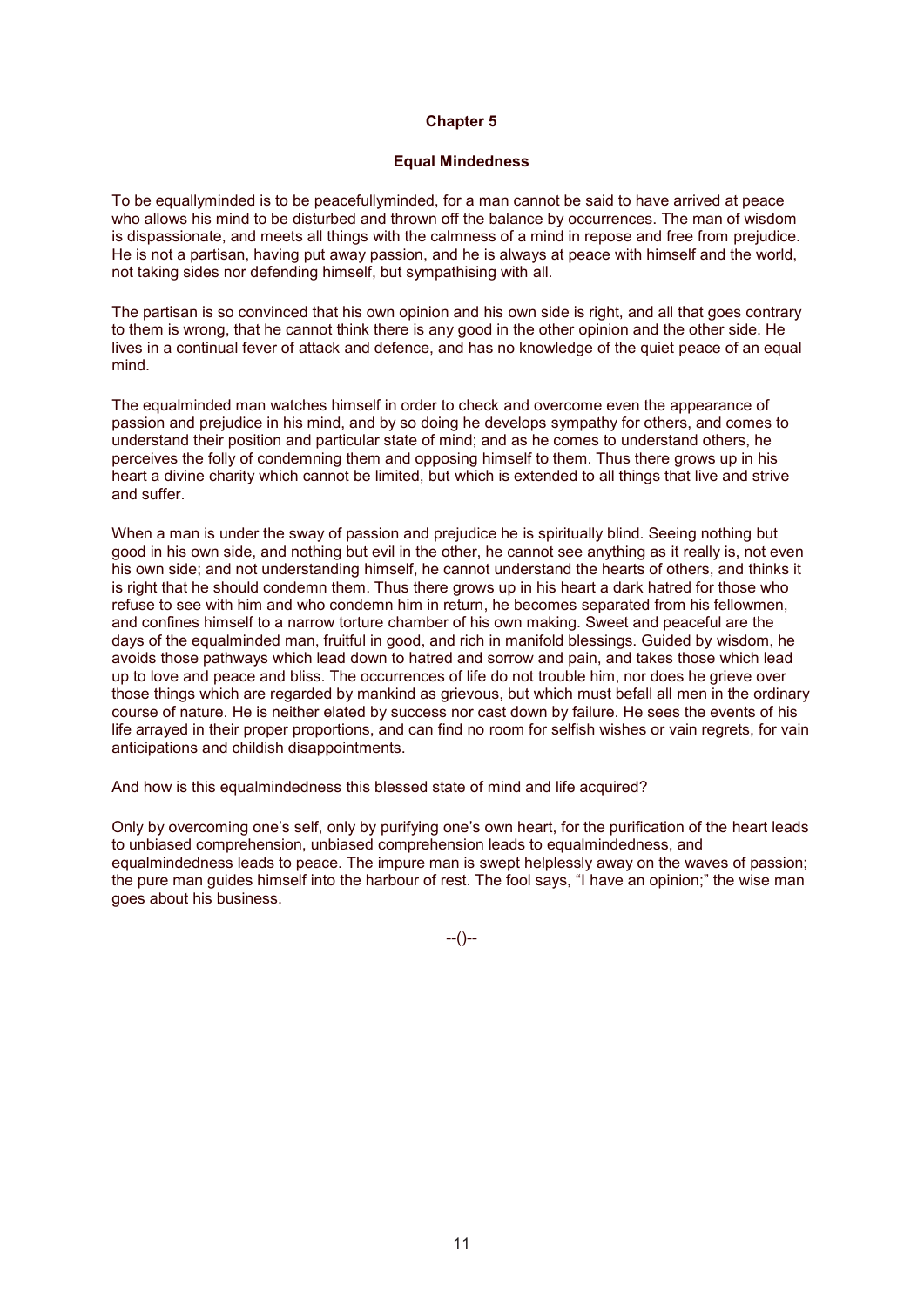#### **Equal Mindedness**

To be equallyminded is to be peacefullyminded, for a man cannot be said to have arrived at peace who allows his mind to be disturbed and thrown off the balance by occurrences. The man of wisdom is dispassionate, and meets all things with the calmness of a mind in repose and free from prejudice. He is not a partisan, having put away passion, and he is always at peace with himself and the world, not taking sides nor defending himself, but sympathising with all.

The partisan is so convinced that his own opinion and his own side is right, and all that goes contrary to them is wrong, that he cannot think there is any good in the other opinion and the other side. He lives in a continual fever of attack and defence, and has no knowledge of the quiet peace of an equal mind.

The equalminded man watches himself in order to check and overcome even the appearance of passion and prejudice in his mind, and by so doing he develops sympathy for others, and comes to understand their position and particular state of mind; and as he comes to understand others, he perceives the folly of condemning them and opposing himself to them. Thus there grows up in his heart a divine charity which cannot be limited, but which is extended to all things that live and strive and suffer.

When a man is under the sway of passion and prejudice he is spiritually blind. Seeing nothing but good in his own side, and nothing but evil in the other, he cannot see anything as it really is, not even his own side; and not understanding himself, he cannot understand the hearts of others, and thinks it is right that he should condemn them. Thus there grows up in his heart a dark hatred for those who refuse to see with him and who condemn him in return, he becomes separated from his fellowmen, and confines himself to a narrow torture chamber of his own making. Sweet and peaceful are the days of the equalminded man, fruitful in good, and rich in manifold blessings. Guided by wisdom, he avoids those pathways which lead down to hatred and sorrow and pain, and takes those which lead up to love and peace and bliss. The occurrences of life do not trouble him, nor does he grieve over those things which are regarded by mankind as grievous, but which must befall all men in the ordinary course of nature. He is neither elated by success nor cast down by failure. He sees the events of his life arrayed in their proper proportions, and can find no room for selfish wishes or vain regrets, for vain anticipations and childish disappointments.

And how is this equalmindedness this blessed state of mind and life acquired?

Only by overcoming one's self, only by purifying one's own heart, for the purification of the heart leads to unbiased comprehension, unbiased comprehension leads to equalmindedness, and equalmindedness leads to peace. The impure man is swept helplessly away on the waves of passion; the pure man guides himself into the harbour of rest. The fool says, "I have an opinion;" the wise man goes about his business.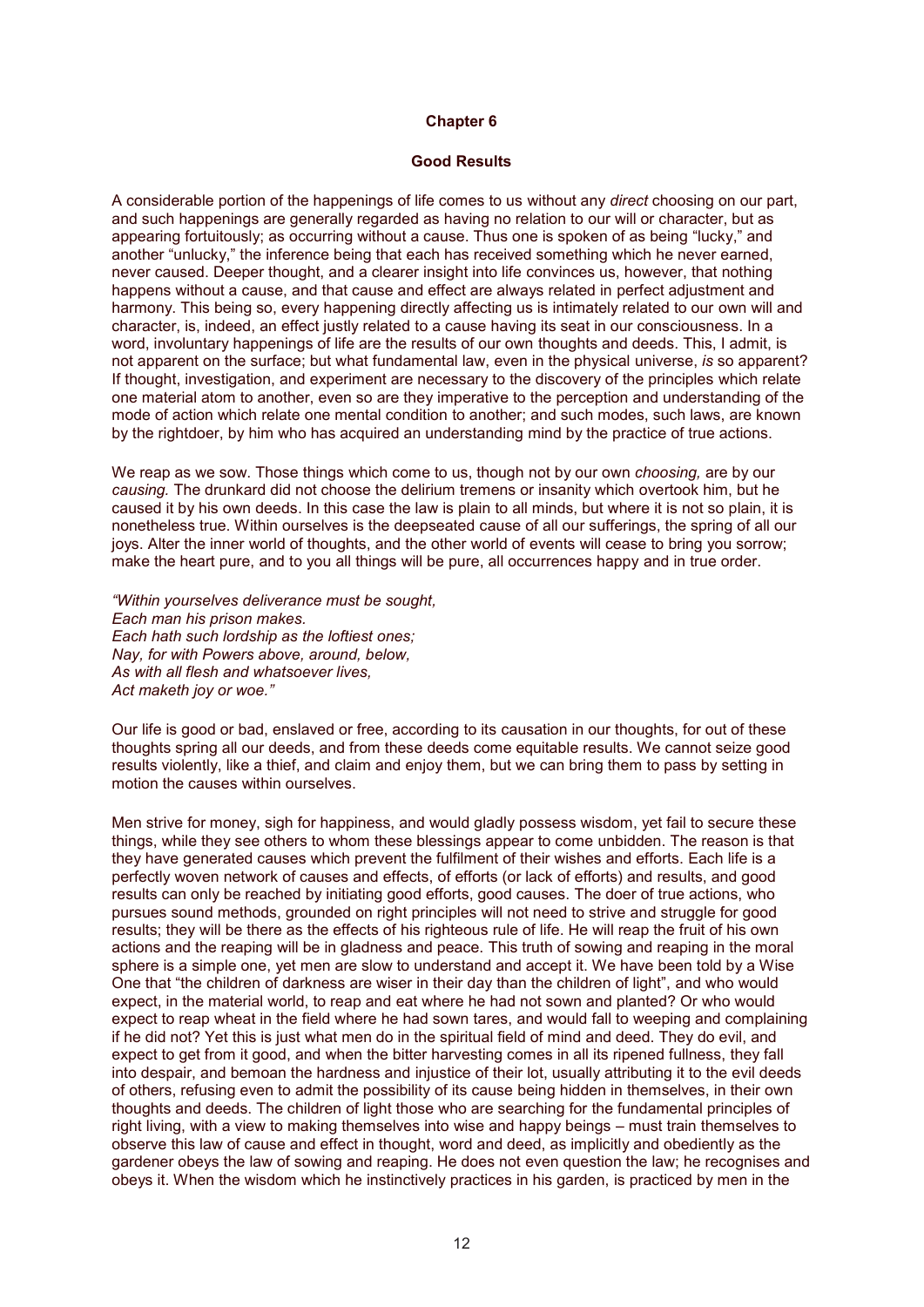#### **Good Results**

A considerable portion of the happenings of life comes to us without any *direct* choosing on our part, and such happenings are generally regarded as having no relation to our will or character, but as appearing fortuitously; as occurring without a cause. Thus one is spoken of as being "lucky," and another "unlucky," the inference being that each has received something which he never earned, never caused. Deeper thought, and a clearer insight into life convinces us, however, that nothing happens without a cause, and that cause and effect are always related in perfect adjustment and harmony. This being so, every happening directly affecting us is intimately related to our own will and character, is, indeed, an effect justly related to a cause having its seat in our consciousness. In a word, involuntary happenings of life are the results of our own thoughts and deeds. This, I admit, is not apparent on the surface; but what fundamental law, even in the physical universe, *is* so apparent? If thought, investigation, and experiment are necessary to the discovery of the principles which relate one material atom to another, even so are they imperative to the perception and understanding of the mode of action which relate one mental condition to another; and such modes, such laws, are known by the rightdoer, by him who has acquired an understanding mind by the practice of true actions.

We reap as we sow. Those things which come to us, though not by our own *choosing,* are by our *causing.* The drunkard did not choose the delirium tremens or insanity which overtook him, but he caused it by his own deeds. In this case the law is plain to all minds, but where it is not so plain, it is nonetheless true. Within ourselves is the deepseated cause of all our sufferings, the spring of all our joys. Alter the inner world of thoughts, and the other world of events will cease to bring you sorrow; make the heart pure, and to you all things will be pure, all occurrences happy and in true order.

*"Within yourselves deliverance must be sought, Each man his prison makes. Each hath such lordship as the loftiest ones; Nay, for with Powers above, around, below, As with all flesh and whatsoever lives, Act maketh joy or woe."*

Our life is good or bad, enslaved or free, according to its causation in our thoughts, for out of these thoughts spring all our deeds, and from these deeds come equitable results. We cannot seize good results violently, like a thief, and claim and enjoy them, but we can bring them to pass by setting in motion the causes within ourselves.

Men strive for money, sigh for happiness, and would gladly possess wisdom, yet fail to secure these things, while they see others to whom these blessings appear to come unbidden. The reason is that they have generated causes which prevent the fulfilment of their wishes and efforts. Each life is a perfectly woven network of causes and effects, of efforts (or lack of efforts) and results, and good results can only be reached by initiating good efforts, good causes. The doer of true actions, who pursues sound methods, grounded on right principles will not need to strive and struggle for good results; they will be there as the effects of his righteous rule of life. He will reap the fruit of his own actions and the reaping will be in gladness and peace. This truth of sowing and reaping in the moral sphere is a simple one, yet men are slow to understand and accept it. We have been told by a Wise One that "the children of darkness are wiser in their day than the children of light", and who would expect, in the material world, to reap and eat where he had not sown and planted? Or who would expect to reap wheat in the field where he had sown tares, and would fall to weeping and complaining if he did not? Yet this is just what men do in the spiritual field of mind and deed. They do evil, and expect to get from it good, and when the bitter harvesting comes in all its ripened fullness, they fall into despair, and bemoan the hardness and injustice of their lot, usually attributing it to the evil deeds of others, refusing even to admit the possibility of its cause being hidden in themselves, in their own thoughts and deeds. The children of light those who are searching for the fundamental principles of right living, with a view to making themselves into wise and happy beings – must train themselves to observe this law of cause and effect in thought, word and deed, as implicitly and obediently as the gardener obeys the law of sowing and reaping. He does not even question the law; he recognises and obeys it. When the wisdom which he instinctively practices in his garden, is practiced by men in the